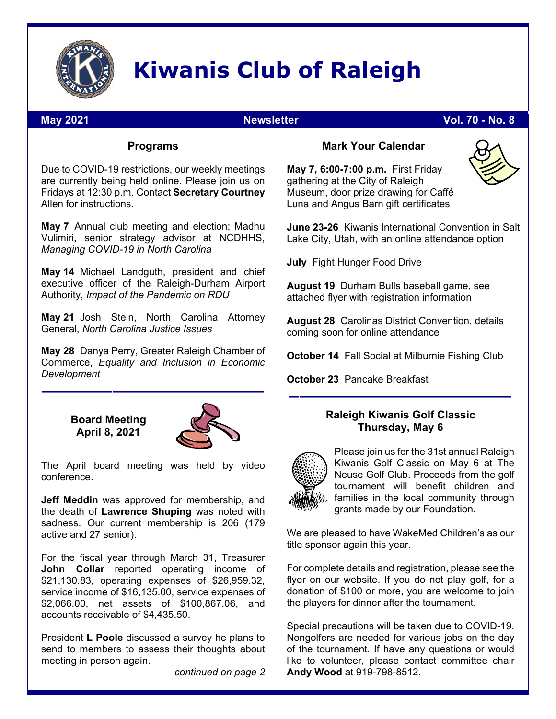

# **Kiwanis Club of Raleigh**

#### **May 2021 Newsletter Vol. 70 - No. 8 Newsletter** Vol. 70 - No. 8

#### **Programs**

Due to COVID-19 restrictions, our weekly meetings are currently being held online. Please join us on Fridays at 12:30 p.m. Contact **Secretary Courtney** Allen for instructions.

**May 7** Annual club meeting and election; Madhu Vulimiri, senior strategy advisor at NCDHHS, *Managing COVID-19 in North Carolina*

**May 14** Michael Landguth, president and chief executive officer of the Raleigh-Durham Airport Authority, *Impact of the Pandemic on RDU* 

**May 21** Josh Stein, North Carolina Attorney General, *North Carolina Justice Issues*

**May 28** Danya Perry, Greater Raleigh Chamber of Commerce, *Equality and Inclusion in Economic Development* 

> **Board Meeting April 8, 2021**



The April board meeting was held by video conference.

**Jeff Meddin** was approved for membership, and the death of **Lawrence Shuping** was noted with sadness. Our current membership is 206 (179 active and 27 senior).

For the fiscal year through March 31, Treasurer **John Collar** reported operating income of \$21,130.83, operating expenses of \$26,959.32, service income of \$16,135.00, service expenses of \$2,066.00, net assets of \$100,867.06, and accounts receivable of \$4,435.50.

President **L Poole** discussed a survey he plans to send to members to assess their thoughts about meeting in person again.

*continued on page 2* 

#### **Mark Your Calendar**

**May 7, 6:00-7:00 p.m.** First Friday gathering at the City of Raleigh Museum, door prize drawing for Caffé Luna and Angus Barn gift certificates



**July** Fight Hunger Food Drive

**August 19** Durham Bulls baseball game, see attached flyer with registration information

**August 28** Carolinas District Convention, details coming soon for online attendance

**October 14** Fall Social at Milburnie Fishing Club

**October 23** Pancake Breakfast

#### **Raleigh Kiwanis Golf Classic Thursday, May 6**

––––––––––––––––––––––



Please join us for the 31st annual Raleigh Kiwanis Golf Classic on May 6 at The Neuse Golf Club. Proceeds from the golf tournament will benefit children and families in the local community through grants made by our Foundation.

We are pleased to have WakeMed Children's as our title sponsor again this year.

For complete details and registration, please see the flyer on our website. If you do not play golf, for a donation of \$100 or more, you are welcome to join the players for dinner after the tournament.

Special precautions will be taken due to COVID-19. Nongolfers are needed for various jobs on the day of the tournament. If have any questions or would like to volunteer, please contact committee chair **Andy Wood** at 919-798-8512.

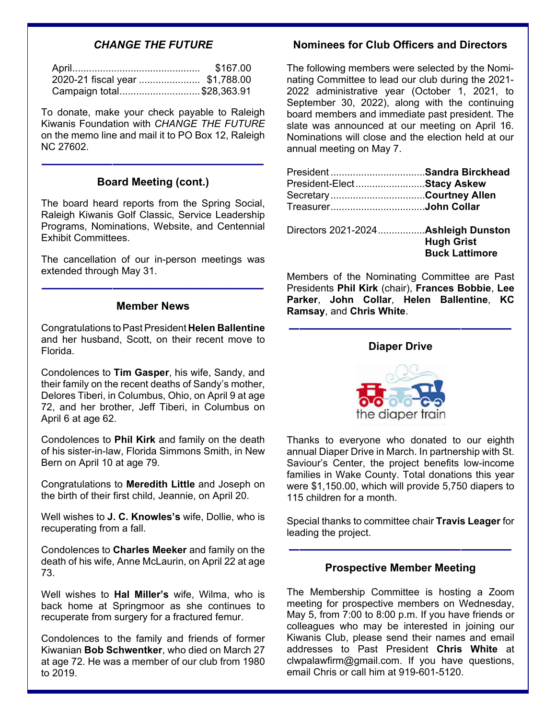#### *CHANGE THE FUTURE*

|                                 | \$167.00 |
|---------------------------------|----------|
| 2020-21 fiscal year  \$1,788.00 |          |
| Campaign total\$28,363.91       |          |

To donate, make your check payable to Raleigh Kiwanis Foundation with *CHANGE THE FUTURE* on the memo line and mail it to PO Box 12, Raleigh NC 27602.

#### **Board Meeting (cont.)**

––––––––––––––––––––––

The board heard reports from the Spring Social, Raleigh Kiwanis Golf Classic, Service Leadership Programs, Nominations, Website, and Centennial Exhibit Committees.

The cancellation of our in-person meetings was extended through May 31.

––––––––––––––––––––––

#### **Member News**

Congratulations toPastPresident **Helen Ballentine** and her husband, Scott, on their recent move to Florida.

Condolences to **Tim Gasper**, his wife, Sandy, and their family on the recent deaths of Sandy's mother, Delores Tiberi, in Columbus, Ohio, on April 9 at age 72, and her brother, Jeff Tiberi, in Columbus on April 6 at age 62.

Condolences to **Phil Kirk** and family on the death of his sister-in-law, Florida Simmons Smith, in New Bern on April 10 at age 79.

Congratulations to **Meredith Little** and Joseph on the birth of their first child, Jeannie, on April 20.

Well wishes to **J. C. Knowles's** wife, Dollie, who is recuperating from a fall.

Condolences to **Charles Meeker** and family on the death of his wife, Anne McLaurin, on April 22 at age 73.

Well wishes to **Hal Miller's** wife, Wilma, who is back home at Springmoor as she continues to recuperate from surgery for a fractured femur.

Condolences to the family and friends of former Kiwanian **Bob Schwentker**, who died on March 27 at age 72. He was a member of our club from 1980 to 2019.

#### **Nominees for Club Officers and Directors**

The following members were selected by the Nominating Committee to lead our club during the 2021- 2022 administrative year (October 1, 2021, to September 30, 2022), along with the continuing board members and immediate past president. The slate was announced at our meeting on April 16. Nominations will close and the election held at our annual meeting on May 7.

| PresidentSandra Birckhead            |                       |
|--------------------------------------|-----------------------|
| President-ElectStacy Askew           |                       |
| SecretaryCourtney Allen              |                       |
| TreasurerJohn Collar                 |                       |
| Directors 2021-2024 Ashleigh Dunston |                       |
|                                      | <b>Hugh Grist</b>     |
|                                      | <b>Buck Lattimore</b> |

Members of the Nominating Committee are Past Presidents **Phil Kirk** (chair), **Frances Bobbie**, **Lee Parker**, **John Collar**, **Helen Ballentine**, **KC Ramsay**, and **Chris White**.

#### **Diaper Drive**

––––––––––––––––––––––



Thanks to everyone who donated to our eighth annual Diaper Drive in March. In partnership with St. Saviour's Center, the project benefits low-income families in Wake County. Total donations this year were \$1,150.00, which will provide 5,750 diapers to 115 children for a month.

Special thanks to committee chair **Travis Leager** for leading the project.

#### **Prospective Member Meeting**

––––––––––––––––––––––

The Membership Committee is hosting a Zoom meeting for prospective members on Wednesday, May 5, from 7:00 to 8:00 p.m. If you have friends or colleagues who may be interested in joining our Kiwanis Club, please send their names and email addresses to Past President **Chris White** at clwpalawfirm@gmail.com. If you have questions, email Chris or call him at 919-601-5120.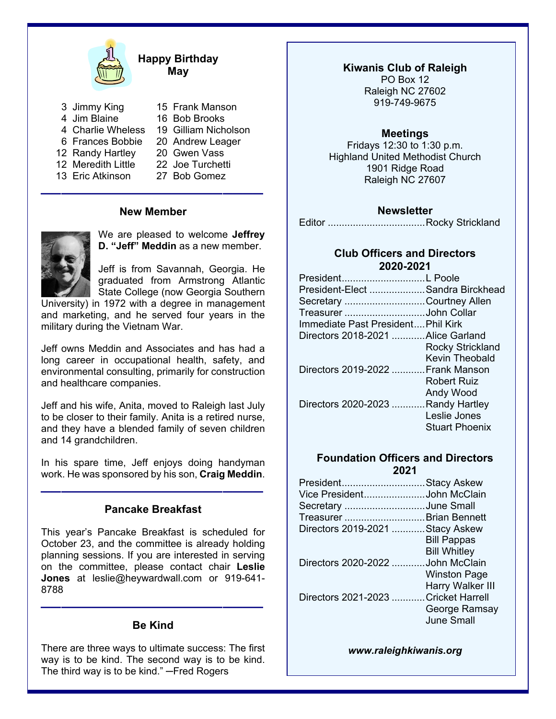

#### **Happy Birthday May**

- 3 Jimmy King
- 4 Jim Blaine
- 15 Frank Manson 16 Bob Brooks
- 4 Charlie Wheless 19 Gilliam Nicholson
- 6 Frances Bobbie 20 Andrew Leager
- 12 Randy Hartley
- 12 Meredith Little
- 13 Eric Atkinson
- 
- 20 Gwen Vass
- 22 Joe Turchetti
	- 27 Bob Gomez

#### **New Member**

––––––––––––––––––––––



We are pleased to welcome **Jeffrey D. "Jeff" Meddin** as a new member.

Jeff is from Savannah, Georgia. He graduated from Armstrong Atlantic State College (now Georgia Southern

University) in 1972 with a degree in management and marketing, and he served four years in the military during the Vietnam War.

Jeff owns Meddin and Associates and has had a long career in occupational health, safety, and environmental consulting, primarily for construction and healthcare companies.

Jeff and his wife, Anita, moved to Raleigh last July to be closer to their family. Anita is a retired nurse, and they have a blended family of seven children and 14 grandchildren.

In his spare time, Jeff enjoys doing handyman work. He was sponsored by his son, **Craig Meddin**.

#### **Pancake Breakfast**

––––––––––––––––––––––

This year's Pancake Breakfast is scheduled for October 23, and the committee is already holding planning sessions. If you are interested in serving on the committee, please contact chair **Leslie Jones** at leslie@heywardwall.com or 919-641- 8788

#### **Be Kind**

––––––––––––––––––––––

There are three ways to ultimate success: The first way is to be kind. The second way is to be kind. The third way is to be kind." — Fred Rogers

**Kiwanis Club of Raleigh**  PO Box 12 Raleigh NC 27602 919-749-9675

#### **Meetings**

Fridays 12:30 to 1:30 p.m. Highland United Methodist Church 1901 Ridge Road Raleigh NC 27607

#### **Newsletter**

Editor ................................... Rocky Strickland

#### **Club Officers and Directors 2020-2021**

| PresidentL Poole                   |                         |
|------------------------------------|-------------------------|
| President-Elect Sandra Birckhead   |                         |
| Secretary Courtney Allen           |                         |
| Treasurer John Collar              |                         |
| Immediate Past President Phil Kirk |                         |
| Directors 2018-2021 Alice Garland  |                         |
|                                    | <b>Rocky Strickland</b> |
|                                    | Kevin Theobald          |
| Directors 2019-2022 Frank Manson   |                         |
|                                    | Robert Ruiz             |
|                                    | <b>Andy Wood</b>        |
| Directors 2020-2023 Randy Hartley  |                         |
|                                    | Leslie Jones            |
|                                    | <b>Stuart Phoenix</b>   |

#### **Foundation Officers and Directors 2021**

| PresidentStacy Askew                |                     |
|-------------------------------------|---------------------|
| Vice PresidentJohn McClain          |                     |
| Secretary June Small                |                     |
| Treasurer  Brian Bennett            |                     |
| Directors 2019-2021 Stacy Askew     |                     |
|                                     | <b>Bill Pappas</b>  |
|                                     | <b>Bill Whitley</b> |
| Directors 2020-2022 John McClain    |                     |
|                                     | <b>Winston Page</b> |
|                                     | Harry Walker III    |
| Directors 2021-2023 Cricket Harrell |                     |
|                                     | George Ramsay       |
|                                     | June Small          |
|                                     |                     |

*www.raleighkiwanis.org*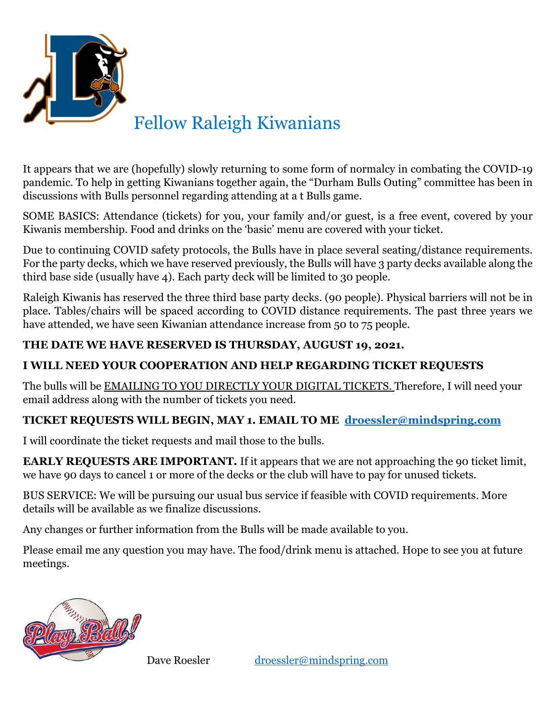

### Fellow Raleigh Kiwanians

It appears that we are (hopefully) slowly returning to some form of normalcy in combating the COVID-19 pandemic. To help in getting Kiwanians together again, the "Durham Bulls Outing" committee has been in discussions with Bulls personnel regarding attending at a t Bulls game.

SOME BASICS: Attendance (tickets) for you, your family and/or guest, is a free event, covered by your Kiwanis membership. Food and drinks on the 'basic' menu are covered with your ticket.

Due to continuing COVID safety protocols, the Bulls have in place several seating/distance requirements. For the party decks, which we have reserved previously, the Bulls will have 3 party decks available along the third base side (usually have 4). Each party deck will be limited to 30 people.

Raleigh Kiwanis has reserved the three third base party decks. (90 people). Physical barriers will not be in place. Tables/chairs will be spaced according to COVID distance requirements. The past three years we have attended, we have seen Kiwanian attendance increase from 50 to 75 people.

### **THE DATE WE HAVE RESERVED IS THURSDAY, AUGUST 19, 2021.**

#### **I WILL NEED YOUR COOPERATION AND HELP REGARDING TICKET REQUESTS**

The bulls will be EMAILING TO YOU DIRECTLY YOUR DIGITAL TICKETS. Therefore, I will need your email address along with the number of tickets you need.

#### **TICKET REQUESTS WILL BEGIN, MAY 1. EMAIL TO ME droessler@mindspring.com**

I will coordinate the ticket requests and mail those to the bulls.

**EARLY REQUESTS ARE IMPORTANT.** If it appears that we are not approaching the 90 ticket limit, we have 90 days to cancel 1 or more of the decks or the club will have to pay for unused tickets.

BUS SERVICE: We will be pursuing our usual bus service if feasible with COVID requirements. More details will be available as we finalize discussions.

Any changes or further information from the Bulls will be made available to you.

Please email me any question you may have. The food/drink menu is attached. Hope to see you at future meetings.



Dave Roesler droessler@mindspring.com